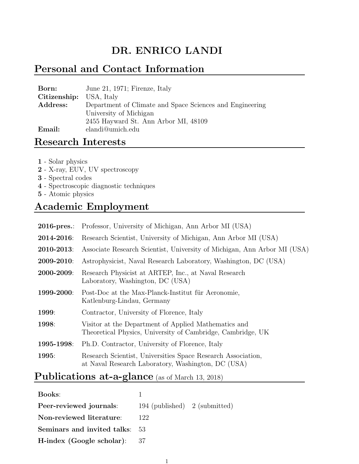# DR. ENRICO LANDI

## Personal and Contact Information

| Born:                   | June 21, 1971; Firenze, Italy                            |
|-------------------------|----------------------------------------------------------|
| Citizenship: USA, Italy |                                                          |
| Address:                | Department of Climate and Space Sciences and Engineering |
|                         | University of Michigan                                   |
|                         | 2455 Hayward St. Ann Arbor MI, 48109                     |
| Email:                  | elandi@umich.edu                                         |

### Research Interests

- 1 Solar physics
- 2 X-ray, EUV, UV spectroscopy
- 3 Spectral codes
- 4 Spectroscopic diagnostic techniques
- 5 Atomic physics

### Academic Employment

| $2016$ -pres.: | Professor, University of Michigan, Ann Arbor MI (USA)                                                               |
|----------------|---------------------------------------------------------------------------------------------------------------------|
| 2014-2016:     | Research Scientist, University of Michigan, Ann Arbor MI (USA)                                                      |
| 2010-2013:     | Associate Research Scientist, University of Michigan, Ann Arbor MI (USA)                                            |
| 2009-2010:     | Astrophysicist, Naval Research Laboratory, Washington, DC (USA)                                                     |
| 2000-2009:     | Research Physicist at ARTEP, Inc., at Naval Research<br>Laboratory, Washington, DC (USA)                            |
| 1999-2000:     | Post-Doc at the Max-Planck-Institut für Aeronomie,<br>Katlenburg-Lindau, Germany                                    |
| 1999:          | Contractor, University of Florence, Italy                                                                           |
| 1998:          | Visitor at the Department of Applied Mathematics and<br>Theoretical Physics, University of Cambridge, Cambridge, UK |
| 1995-1998:     | Ph.D. Contractor, University of Florence, Italy                                                                     |
| 1995:          | Research Scientist, Universities Space Research Association,<br>at Naval Research Laboratory, Washington, DC (USA)  |

## Publications at-a-glance (as of March 13, 2018)

| <b>Books:</b>                  |                               |  |
|--------------------------------|-------------------------------|--|
| Peer-reviewed journals:        | 194 (published) 2 (submitted) |  |
| Non-reviewed literature:       | 122                           |  |
| Seminars and invited talks: 53 |                               |  |
| H-index (Google scholar):      | -37                           |  |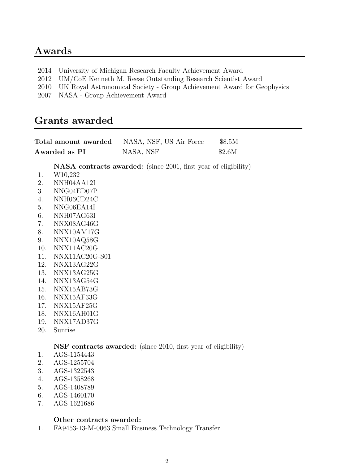### Awards

- 2014 University of Michigan Research Faculty Achievement Award
- 2012 UM/CoE Kenneth M. Reese Outstanding Research Scientist Award
- 2010 UK Royal Astronomical Society Group Achievement Award for Geophysics
- 2007 NASA Group Achievement Award

### Grants awarded

|          | Total amount awarded                                                  | NASA, NSF, US Air Force | \$8.5M                                                                 |  |
|----------|-----------------------------------------------------------------------|-------------------------|------------------------------------------------------------------------|--|
|          | Awarded as PI                                                         | NASA, NSF               | \$2.6M                                                                 |  |
|          |                                                                       |                         | <b>NASA</b> contracts awarded: (since 2001, first year of eligibility) |  |
| 1.<br>2. | W10,232                                                               |                         |                                                                        |  |
| 3.       | NNH04AA12I<br>NNG04ED07P                                              |                         |                                                                        |  |
| 4.       | NNH06CD24C                                                            |                         |                                                                        |  |
| 5.       | NNG06EA14I                                                            |                         |                                                                        |  |
| 6.       | NNH07AG63I                                                            |                         |                                                                        |  |
| 7.       | NNX08AG46G                                                            |                         |                                                                        |  |
| 8.       | NNX10AM17G                                                            |                         |                                                                        |  |
| 9.       | NNX10AQ58G                                                            |                         |                                                                        |  |
| 10.      | NNX11AC20G                                                            |                         |                                                                        |  |
| 11.      | NNX11AC20G-S01                                                        |                         |                                                                        |  |
| 12.      | NNX13AG22G                                                            |                         |                                                                        |  |
| 13.      | NNX13AG25G                                                            |                         |                                                                        |  |
| 14.      | NNX13AG54G                                                            |                         |                                                                        |  |
| 15.      | NNX15AB73G                                                            |                         |                                                                        |  |
| 16.      | NNX15AF33G                                                            |                         |                                                                        |  |
| 17.      | NNX15AF25G                                                            |                         |                                                                        |  |
| 18.      | NNX16AH01G                                                            |                         |                                                                        |  |
| 19.      | NNX17AD37G                                                            |                         |                                                                        |  |
| 20.      | Sunrise                                                               |                         |                                                                        |  |
|          | <b>NSF</b> contracts awarded: (since 2010, first year of eligibility) |                         |                                                                        |  |
| 1.       | AGS-1154443                                                           |                         |                                                                        |  |
| 2.       | AGS-1255704                                                           |                         |                                                                        |  |
| 3.       | AGS-1322543                                                           |                         |                                                                        |  |
| 4.       | AGS-1358268                                                           |                         |                                                                        |  |
| 5.       | AGS-1408789                                                           |                         |                                                                        |  |
| 6.       | AGS-1460170                                                           |                         |                                                                        |  |
| 7.       | AGS-1621686                                                           |                         |                                                                        |  |

#### Other contracts awarded:

1. FA9453-13-M-0063 Small Business Technology Transfer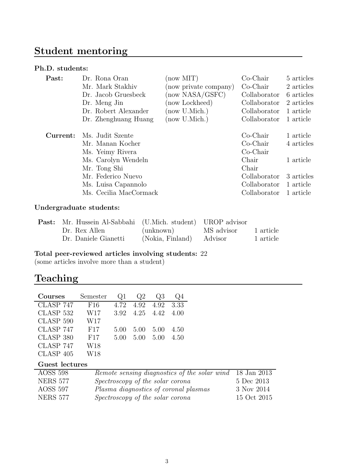# Student mentoring

#### Ph.D. students:

| Past:    | Dr. Rona Oran                                                                                                                                                          | (now MIT)             | $Co-Chair$                                                                                               | 5 articles                                                                   |
|----------|------------------------------------------------------------------------------------------------------------------------------------------------------------------------|-----------------------|----------------------------------------------------------------------------------------------------------|------------------------------------------------------------------------------|
|          | Mr. Mark Stakhiv                                                                                                                                                       | (now private company) | $Co-Chair$                                                                                               | 2 articles                                                                   |
|          | Dr. Jacob Gruesbeck                                                                                                                                                    | (now NASA/GSFC)       | Collaborator                                                                                             | 6 articles                                                                   |
|          | Dr. Meng Jin                                                                                                                                                           | (now Lockheed)        | Collaborator                                                                                             | 2 articles                                                                   |
|          | Dr. Robert Alexander                                                                                                                                                   | (now U.Mich.)         | Collaborator                                                                                             | 1 article                                                                    |
|          | Dr. Zhenghuang Huang                                                                                                                                                   | (now U.Mich.)         | Collaborator                                                                                             | 1 article                                                                    |
| Current: | Ms. Judit Szente<br>Mr. Manan Kocher<br>Ms. Yeimy Rivera<br>Ms. Carolyn Wendeln<br>Mr. Tong Shi<br>Mr. Federico Nuevo<br>Ms. Luisa Capannolo<br>Ms. Cecilia MacCormack |                       | $Co-Chair$<br>$Co-Chair$<br>$Co-Chair$<br>Chair<br>Chair<br>Collaborator<br>Collaborator<br>Collaborator | 1 article<br>4 articles<br>1 article<br>3 articles<br>1 article<br>1 article |

#### Undergraduate students:

| <b>Past:</b> Mr. Hussein Al-Sabbahi (U.Mich. student) UROP advisor |                          |           |
|--------------------------------------------------------------------|--------------------------|-----------|
| Dr. Rex Allen                                                      | (unknown) MS advisor     | 1 article |
| Dr. Daniele Gianetti                                               | (Nokia, Finland) Advisor | 1 article |

#### Total peer-reviewed articles involving students: 22

(some articles involve more than a student)

## Teaching

| Courses              | Semester | $\omega$ 1 | Q2   | Q3   | Q4   |
|----------------------|----------|------------|------|------|------|
| $CLASP$ 747          | F16      | 4.72       | 4.92 | 4.92 | 3.33 |
| CLASP 532            | W17      | 3.92       | 4.25 | 4.42 | 4.00 |
| CLASP <sub>590</sub> | W17      |            |      |      |      |
| CLASP 747            | F17      | 5.00       | 5.00 | 5.00 | 4.50 |
| CLASP 380            | F17      | 5.00       | 5.00 | 5.00 | 4.50 |
| CLASP 747            | W18      |            |      |      |      |
| $CLASP$ 405          | W18      |            |      |      |      |

### Guest lectures

| <b>AOSS 598</b> | Remote sensing diagnostics of the solar wind 18 Jan 2013 |             |
|-----------------|----------------------------------------------------------|-------------|
| <b>NERS 577</b> | Spectroscopy of the solar corona                         | 5 Dec 2013  |
| AOSS 597        | Plasma diagnostics of coronal plasmas                    | 3 Nov 2014  |
| <b>NERS 577</b> | Spectroscopy of the solar corona                         | 15 Oct 2015 |
|                 |                                                          |             |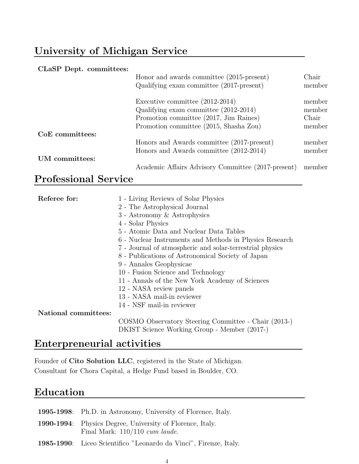# University of Michigan Service

#### CLaSP Dept. committees:

|                 | Honor and awards committee (2015-present)<br>Qualifying exam committee $(2017\text{-present})$                                                                 | Chair<br>member                     |
|-----------------|----------------------------------------------------------------------------------------------------------------------------------------------------------------|-------------------------------------|
|                 | Executive committee $(2012-2014)$<br>Qualifying exam committee (2012-2014)<br>Promotion committee (2017, Jim Raines)<br>Promotion committee (2015, Shasha Zou) | member<br>member<br>Chair<br>member |
| CoE committees: |                                                                                                                                                                |                                     |
|                 | Honors and Awards committee (2017-present)<br>Honors and Awards committee (2012-2014)                                                                          | member<br>member                    |
| UM committees:  |                                                                                                                                                                |                                     |
|                 | Academic Affairs Advisory Committee (2017-present)                                                                                                             | member                              |

# Professional Service

| Referee for:<br>1 - Living Reviews of Solar Physics |                                                          |  |
|-----------------------------------------------------|----------------------------------------------------------|--|
|                                                     | 2 - The Astrophysical Journal                            |  |
|                                                     | 3 - Astronomy & Astrophysics                             |  |
|                                                     | 4 - Solar Physics                                        |  |
|                                                     | 5 - Atomic Data and Nuclear Data Tables                  |  |
|                                                     | 6 - Nuclear Instruments and Methods in Physics Research  |  |
|                                                     | 7 - Journal of atmospheric and solar-terrestrial physics |  |
|                                                     | 8 - Publications of Astronomical Society of Japan        |  |
|                                                     | 9 - Annales Geophysicae                                  |  |
|                                                     | 10 - Fusion Science and Technology                       |  |
|                                                     | 11 - Annals of the New York Academy of Sciences          |  |
|                                                     | 12 - NASA review panels                                  |  |
|                                                     | 13 - NASA mail-in reviewer                               |  |
|                                                     | 14 - NSF mail-in reviewer                                |  |
| National committees:                                |                                                          |  |
|                                                     | COSMO Observatory Steering Committee - Chair (2013-)     |  |
|                                                     | DKIST Science Working Group - Member (2017-)             |  |

## Enterpreneurial activities

Founder of Cito Solution LLC, registered in the State of Michigan. Consultant for Chora Capital, a Hedge Fund based in Boulder, CO.

## Education

| 1995-1998: Ph.D. in Astronomy, University of Florence, Italy.                                         |
|-------------------------------------------------------------------------------------------------------|
| <b>1990-1994</b> : Physics Degree, University of Florence, Italy.<br>Final Mark: $110/110$ cum laude. |
| 1985-1990: Liceo Scientifico "Leonardo da Vinci", Firenze, Italy.                                     |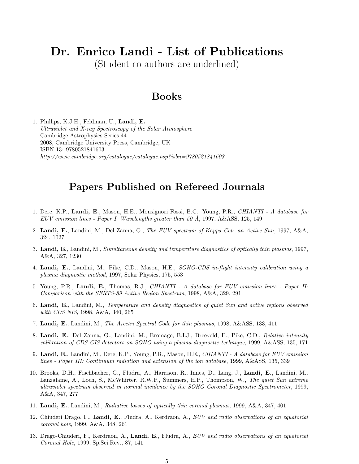# Dr. Enrico Landi - List of Publications

(Student co-authors are underlined)

### Books

1. Phillips, K.J.H., Feldman, U., Landi, E. Ultraviolet and X-ray Spectroscopy of the Solar Atmosphere Cambridge Astrophysics Series 44 2008, Cambridge University Press, Cambridge, UK ISBN-13: 9780521841603 http://www.cambridge.org/catalogue/catalogue.asp?isbn=9780521841603

### Papers Published on Refereed Journals

- 1. Dere, K.P., Landi, E., Mason, H.E., Monsignori Fossi, B.C., Young, P.R., CHIANTI A database for EUV emission lines - Paper I. Wavelengths greater than 50 Å, 1997, A&ASS, 125, 149
- 2. Landi, E., Landini, M., Del Zanna, G., The EUV spectrum of Kappa Cet: an Active Sun, 1997, A&A, 324, 1027
- 3. Landi, E., Landini, M., Simultaneous density and temperature diagnostics of optically thin plasmas, 1997, A&A, 327, 1230
- 4. Landi, E., Landini, M., Pike, C.D., Mason, H.E., SOHO-CDS in-flight intensity calibration using a plasma diagnostic method, 1997, Solar Physics, 175, 553
- 5. Young, P.R., Landi, E., Thomas, R.J., CHIANTI A database for EUV emission lines Paper II: Comparison with the SERTS-89 Active Region Spectrum, 1998, A&A, 329, 291
- 6. Landi, E., Landini, M., Temperature and density diagnostics of quiet Sun and active regions observed with CDS NIS, 1998, A&A, 340, 265
- 7. Landi, E., Landini, M., The Arcetri Spectral Code for thin plasmas, 1998, A&ASS, 133, 411
- 8. Landi, E., Del Zanna, G., Landini, M., Bromage, B.I.J., Breeveld, E., Pike, C.D., Relative intensity calibration of CDS-GIS detectors on SOHO using a plasma diagnostic technique, 1999, A&ASS, 135, 171
- 9. Landi, E., Landini, M., Dere, K.P., Young, P.R., Mason, H.E., CHIANTI A database for EUV emission lines - Paper III: Continuum radiation and extension of the ion database, 1999, A&ASS, 135, 339
- 10. Brooks, D.H., Fischbacher, G., Fludra, A., Harrison, R., Innes, D., Lang, J., Landi, E., Landini, M., Lanzafame, A., Loch, S., McWhirter, R.W.P., Summers, H.P., Thompson, W., The quiet Sun extreme ultraviolet spectrum observed in normal incidence by the SOHO Coronal Diagnostic Spectrometer, 1999, A&A, 347, 277
- 11. Landi, E., Landini, M., Radiative losses of optically thin coronal plasmas, 1999, A&A, 347, 401
- 12. Chiuderi Drago, F., Landi, E., Fludra, A., Kerdraon, A., EUV and radio observations of an equatorial coronal hole, 1999, A&A, 348, 261
- 13. Drago-Chiuderi, F., Kerdraon, A., Landi, E., Fludra, A., EUV and radio observations of an equatorial Coronal Hole, 1999, Sp.Sci.Rev., 87, 141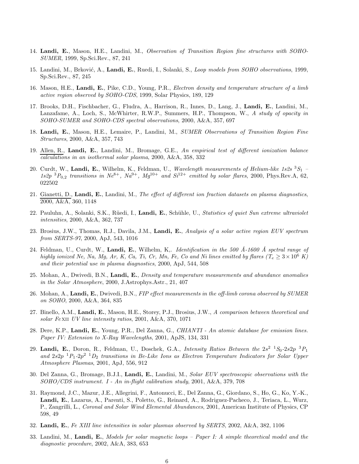- 14. Landi, E., Mason, H.E., Landini, M., Observation of Transition Region fine structures with SOHO-SUMER, 1999, Sp.Sci.Rev., 87, 241
- 15. Landini, M., Brković, A., Landi, E., Ruedi, I., Solanki, S., Loop models from SOHO observations, 1999, Sp.Sci.Rev., 87, 245
- 16. Mason, H.E., Landi, E., Pike, C.D., Young, P.R., *Electron density and temperature structure of a limb* active region observed by SOHO-CDS, 1999, Solar Physics, 189, 129
- 17. Brooks, D.H., Fischbacher, G., Fludra, A., Harrison, R., Innes, D., Lang, J., Landi, E., Landini, M., Lanzafame, A., Loch, S., McWhirter, R.W.P., Summers, H.P., Thompson, W., A study of opacity in SOHO-SUMER and SOHO-CDS spectral observations, 2000, A&A, 357, 697
- 18. Landi, E., Mason, H.E., Lemaire, P., Landini, M., SUMER Observations of Transition Region Fine Structures, 2000, A&A, 357, 743
- 19. Allen, R., Landi, E., Landini, M., Bromage, G.E., An empirical test of different ionization balance calculations in an isothermal solar plasma, 2000, A&A, 358, 332
- 20. Curdt, W., Landi, E., Wilhelm, K., Feldman, U., Wavelength measurements of Helium-like 1s2s 3S1  $1s2p$   ${}^3P_{0,2}$  transitions in  $Ne^{8+}$ ,  $Na^{9+}$ ,  $Mg^{10+}$  and  $Si^{12+}$  emitted by solar flares, 2000, Phys.Rev.A, 62, 022502
- 21. Gianetti, D., Landi, E., Landini, M., The effect of different ion fraction datasets on plasma diagnostics, 2000, A&A, 360, 1148
- 22. Pauluhn, A., Solanki, S.K., Rüedi, I., Landi, E., Schühle, U., Statistics of quiet Sun extreme ultraviolet intensities, 2000, A&A, 362, 737
- 23. Brosius, J.W., Thomas, R.J., Davila, J.M., Landi, E., Analysis of a solar active region EUV spectrum from SERTS-97, 2000, ApJ, 543, 1016
- 24. Feldman, U., Curdt, W., Landi, E., Wilhelm, K., *Identification in the 500 Å-1600 Å spctral range of* highly ionized Ne, Na, Mg, Ar, K, Ca, Ti, Cr, Mn, Fe, Co and Ni lines emitted by flares  $(T_e \geq 3 \times 10^6 \text{ K})$ and their potential use in plasma diagnostics, 2000, ApJ, 544, 508
- 25. Mohan, A., Dwivedi, B.N., Landi, E., Density and temperature measurements and abundance anomalies in the Solar Atmosphere, 2000, J.Astrophys.Astr., 21, 407
- 26. Mohan, A., Landi, E., Dwivedi, B.N., FIP effect measurements in the off-limb corona observed by SUMER on SOHO, 2000, A&A, 364, 835
- 27. Binello, A.M., Landi, E., Mason, H.E., Storey, P.J., Brosius, J.W., A comparison between theoretical and solar Fe xii UV line intensity ratios, 2001, A&A, 370, 1071
- 28. Dere, K.P., Landi, E., Young, P.R., Del Zanna, G., *CHIANTI An atomic database for emission lines.* Paper IV: Extension to X-Ray Wavelengths, 2001, ApJS, 134, 331
- 29. Landi, E., Doron, R., Feldman, U., Doschek, G.A., Intensity Ratios Between the  $2s^2$   $^1S_0-2s2p$   $^3P_1$ and  $2s2p^{-1}P_1-2p^2^{-1}D_2$  transitions in Be-Like Ions as Electron Temperature Indicators for Solar Upper Atmosphere Plasmas, 2001, ApJ, 556, 912
- 30. Del Zanna, G., Bromage, B.J.I., Landi, E., Landini, M., Solar EUV spectroscopic observations with the  $S OHO/CDS$  instrument. I - An in-flight calibration study, 2001, A&A, 379, 708
- 31. Raymond, J.C., Mazur, J.E., Allegrini, F., Antonucci, E., Del Zanna, G., Giordano, S., Ho, G., Ko, Y.-K., Landi, E., Lazarus, A., Parenti, S., Poletto, G., Reinard, A., Rodriguez-Pacheco, J., Teriaca, L., Wurz, P., Zangrilli, L., Coronal and Solar Wind Elemental Abundances, 2001, American Institute of Physics, CP 598, 49
- 32. Landi, E., Fe XIII line intensities in solar plasmas observed by SERTS, 2002, A&A, 382, 1106
- 33. Landini, M., Landi, E., Models for solar magnetic loops Paper I: A simple theoretical model and the diagnostic procedure, 2002, A&A, 383, 653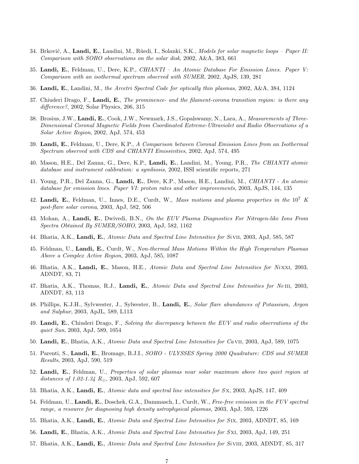- 34. Brković, A., Landi, E., Landini, M., Rüedi, I., Solanki, S.K., Models for solar magnetic loops Paper II: Comparison with SOHO observations on the solar disk, 2002, A&A, 383, 661
- 35. Landi, E., Feldman, U., Dere, K.P., CHIANTI An Atomic Database For Emission Lines. Paper V: Comparison with an isothermal spectrum observed with SUMER, 2002, ApJS, 139, 281
- 36. Landi, E., Landini, M., the Arcetri Spectral Code for optically thin plasmas, 2002, A&A, 384, 1124
- 37. Chiuderi Drago, F., Landi, E., The prominence- and the filament-corona transition region: is there any difference?, 2002, Solar Physics, 206, 315
- 38. Brosius, J.W., Landi, E., Cook, J.W., Newmark, J.S., Gopalswamy, N., Lara, A., Measurements of Three-Dimensional Coronal Magnetic Fields from Coordinated Extreme-Ultraviolet and Radio Observations of a Solar Active Region, 2002, ApJ, 574, 453
- 39. Landi, E., Feldman, U., Dere, K.P., A Comparison between Coronal Emission Lines from an Isothermal Spectrum observed with CDS and CHIANTI Emissivities, 2002, ApJ, 574, 495
- 40. Mason, H.E., Del Zanna, G., Dere, K.P., Landi, E., Landini, M., Young, P.R., The CHIANTI atomic database and instrument calibration: a symbiosis, 2002, ISSI scientific reports, 271
- 41. Young, P.R., Del Zanna, G., Landi, E., Dere, K.P., Mason, H.E., Landini, M., CHIANTI An atomic database for emission lines. Paper VI: proton rates and other improvements, 2003, ApJS, 144, 135
- 42. Landi, E., Feldman, U., Innes, D.E., Curdt, W., Mass motions and plasma properties in the 10<sup>7</sup> K post-flare solar corona, 2003, ApJ, 582, 506
- 43. Mohan, A., Landi, E., Dwivedi, B.N., On the EUV Plasma Diagnostics For Nitrogen-like Ions From Spectra Obtained By SUMER/SOHO, 2003, ApJ, 582, 1162
- 44. Bhatia, A.K., Landi, E., Atomic Data and Spectral Line Intensities for Si vii, 2003, ApJ, 585, 587
- 45. Feldman, U., Landi, E., Curdt, W., Non-thermal Mass Motions Within the High Temperature Plasmas Above a Complex Active Region, 2003, ApJ, 585, 1087
- 46. Bhatia, A.K., Landi, E., Mason, H.E., Atomic Data and Spectral Line Intensities for Nixxi, 2003, ADNDT, 83, 71
- 47. Bhatia, A.K., Thomas, R.J., Landi, E., Atomic Data and Spectral Line Intensities for NeIII, 2003, ADNDT, 83, 113
- 48. Phillips, K.J.H., Sylvwester, J., Sylwester, B., Landi, E., Solar flare abundances of Potassium, Argon and Sulphur, 2003, ApJL, 589, L113
- 49. Landi, E., Chiuderi Drago, F., Solving the discrepancy between the EUV and radio observations of the quiet Sun, 2003, ApJ, 589, 1054
- 50. Landi, E., Bhatia, A.K., Atomic Data and Spectral Line Intensities for Ca VII, 2003, ApJ, 589, 1075
- 51. Parenti, S., Landi, E., Bromage, B.J.I., SOHO ULYSSES Spring 2000 Quadrature: CDS and SUMER Results, 2003, ApJ, 590, 519
- 52. Landi, E., Feldman, U., Properties of solar plasmas near solar maximum above two quiet region at distances of 1.02-1.34  $R_{\odot}$ , 2003, ApJ, 592, 607
- 53. Bhatia, A.K., Landi, E., Atomic data and spectral line intensities for Sx, 2003, ApJS, 147, 409
- 54. Feldman, U., Landi, E., Doschek, G.A., Dammasch, I., Curdt, W., Free-free emission in the FUV spectral range, a resource for diagnosing high density astrophysical plasmas, 2003, ApJ, 593, 1226
- 55. Bhatia, A.K., Landi, E., *Atomic Data and Spectral Line Intensities for SIX*, 2003, ADNDT, 85, 169
- 56. Landi, E., Bhatia, A.K., Atomic Data and Spectral Line Intensities for SXI, 2003, ApJ, 149, 251
- 57. Bhatia, A.K., Landi, E., Atomic Data and Spectral Line Intensities for Sivill, 2003, ADNDT, 85, 317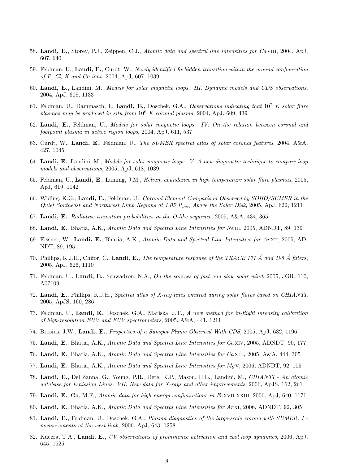- 58. Landi, E., Storey, P.J., Zeippen, C.J., Atomic data and spectral line intensities for Ca viii, 2004, ApJ, 607, 640
- 59. Feldman, U., Landi, E., Curdt, W., Newly identified forbidden transition within the ground configuration of P, Cl, K and Co ions, 2004, ApJ, 607, 1039
- 60. Landi, E., Landini, M., Models for solar magnetic loops. III. Dynamic models and CDS observations, 2004, ApJ, 608, 1133
- 61. Feldman, U., Dammasch, I., Landi, E., Doschek, G.A., Observations indicating that  $10^7$  K solar flare plasmas may be produced in situ from  $10^6$  K coronal plasma, 2004, ApJ, 609, 439
- 62. Landi, E., Feldman, U., Models for solar magnetic loops. IV: On the relation between coronal and footpoint plasma in active region loops, 2004, ApJ, 611, 537
- 63. Curdt, W., Landi, E., Feldman, U., The SUMER spectral atlas of solar coronal features, 2004, A&A, 427, 1045
- 64. Landi, E., Landini, M., Models for solar magnetic loops. V. A new diagnostic technique to compare loop models and observations, 2005, ApJ, 618, 1039
- 65. Feldman, U., Landi, E., Laming, J.M., *Helium abundance in high temperature solar flare plasmas*, 2005, ApJ, 619, 1142
- 66. Widing, K.G., Landi, E., Feldman, U., Coronal Element Comparison Observed by SOHO/SUMER in the Quiet Southeast and Northwest Limb Regions at 1.05  $R_{sun}$  Above the Solar Disk, 2005, ApJ, 622, 1211
- 67. Landi, E., Radiative transition probabilities in the O-like sequence, 2005, A&A, 434, 365
- 68. Landi, E., Bhatia, A.K., Atomic Data and Spectral Line Intensities for NeIII, 2005, ADNDT, 89, 139
- 69. Eissner, W., Landi, E., Bhatia, A.K., Atomic Data and Spectral Line Intensities for Ar XII, 2005, AD-NDT, 89, 195
- 70. Phillips, K.J.H., Chifor, C., Landi, E., The temperature response of the TRACE 171 Å and 195 Å filters, 2005, ApJ, 626, 1110
- 71. Feldman, U., Landi, E., Schwadron, N.A., On the sources of fast and slow solar wind, 2005, JGR, 110, A07109
- 72. Landi, E., Phillips, K.J.H., Spectral atlas of X-ray lines emitted during solar flares based on CHIANTI, 2005, ApJS, 160, 286
- 73. Feldman, U., Landi, E., Doschek, G.A., Mariska, J.T., A new method for in-flight intensity calibration of high-resolution EUV and FUV spectrometers, 2005, A&A, 441, 1211
- 74. Brosius, J.W., Landi, E., Properties of a Sunspot Plume Observed With CDS, 2005, ApJ, 632, 1196
- 75. Landi, E., Bhatia, A.K., Atomic Data and Spectral Line Intensities for Ca xiv, 2005, ADNDT, 90, 177
- 76. Landi, E., Bhatia, A.K., Atomic Data and Spectral Line Intensities for Ca XIII, 2005, A&A, 444, 305
- 77. Landi, E., Bhatia, A.K., Atomic Data and Spectral Line Intensities for Mg v, 2006, ADNDT, 92, 105
- 78. Landi, E., Del Zanna, G., Young, P.R., Dere, K.P., Mason, H.E., Landini, M., CHIANTI An atomic database for Emission Lines. VII. New data for X-rays and other improvements, 2006, ApJS, 162, 261
- 79. Landi, E., Gu, M.F., Atomic data for high energy configurations in Fe xvII-xxIII, 2006, ApJ, 640, 1171
- 80. Landi, E., Bhatia, A.K., Atomic Data and Spectral Line Intensities for Arxi, 2006, ADNDT, 92, 305
- 81. Landi, E., Feldman, U., Doschek, G.A., Plasma diagnostics of the large-scale corona with SUMER. I measurements at the west limb, 2006, ApJ, 643, 1258
- 82. Kucera, T.A., Landi, E., UV observations of prominence activation and cool loop dynamics, 2006, ApJ, 645, 1525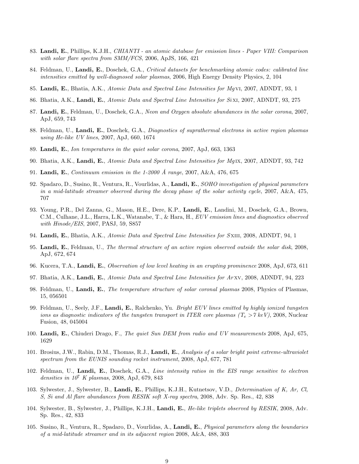- 83. Landi, E., Phillips, K.J.H., CHIANTI an atomic database for emission lines Paper VIII: Comparison with solar flare spectra from SMM/FCS, 2006, ApJS, 166, 421
- 84. Feldman, U., Landi, E., Doschek, G.A., Critical datasets for benchmarking atomic codes: calibrated line intensities emitted by well-diagnosed solar plasmas, 2006, High Energy Density Physics, 2, 104
- 85. Landi, E., Bhatia, A.K., Atomic Data and Spectral Line Intensities for MgVI, 2007, ADNDT, 93, 1
- 86. Bhatia, A.K., Landi, E., Atomic Data and Spectral Line Intensities for Sixi, 2007, ADNDT, 93, 275
- 87. Landi, E., Feldman, U., Doschek, G.A., Neon and Oxygen absolute abundances in the solar corona, 2007, ApJ, 659, 743
- 88. Feldman, U., Landi, E., Doschek, G.A., Diagnostics of suprathermal electrons in active region plasmas using He-like UV lines, 2007, ApJ, 660, 1674
- 89. Landi, E., Ion temperatures in the quiet solar corona, 2007, ApJ, 663, 1363
- 90. Bhatia, A.K., Landi, E., Atomic Data and Spectral Line Intensities for Mg IX, 2007, ADNDT, 93, 742
- 91. Landi, E., Continuum emission in the 1-2000 Å range, 2007, A&A, 476, 675
- 92. Spadaro, D., Susino, R., Ventura, R., Vourlidas, A., Landi, E., SOHO investigation of physical parameters in a mid-latitude streamer observed during the decay phase of the solar activity cycle, 2007, A&A, 475, 707
- 93. Young, P.R., Del Zanna, G., Mason, H.E., Dere, K.P., Landi, E., Landini, M., Doschek, G.A., Brown, C.M., Culhane, J.L., Harra, L.K., Watanabe, T., & Hara, H., EUV emission lines and diagnostics observed with Hinode/EIS, 2007, PASJ, 59, S857
- 94. Landi, E., Bhatia, A.K., Atomic Data and Spectral Line Intensities for SXIII, 2008, ADNDT, 94, 1
- 95. Landi, E., Feldman, U., The thermal structure of an active region observed outside the solar disk, 2008, ApJ, 672, 674
- 96. Kucera, T.A., Landi, E., *Observation of low level heating in an erupting prominence* 2008, ApJ, 673, 611
- 97. Bhatia, A.K., Landi, E., Atomic Data and Spectral Line Intensities for Arxv, 2008, ADNDT, 94, 223
- 98. Feldman, U., Landi, E., The temperature structure of solar coronal plasmas 2008, Physics of Plasmas, 15, 056501
- 99. Feldman, U., Seely, J.F., Landi, E., Ralchenko, Yu. Bright EUV lines emitted by highly ionized tungsten ions as diagnostic indicators of the tungsten transport in ITER core plasmas  $(T_e > 7 \text{ keV})$ , 2008, Nuclear Fusion, 48, 045004
- 100. Landi, E., Chiuderi Drago, F., The quiet Sun DEM from radio and UV measurements 2008, ApJ, 675, 1629
- 101. Brosius, J.W., Rabin, D.M., Thomas, R.J., Landi, E., Analysis of a solar bright point extreme-ultraviolet spectrum from the EUNIS sounding rocket instrument, 2008, ApJ, 677, 781
- 102. Feldman, U., Landi, E., Doschek, G.A., Line intensity ratios in the EIS range sensitive to electron densities in  $10^7$  K plasmas, 2008, ApJ, 679, 843
- 103. Sylwester, J., Sylwester, B., Landi, E., Phillips, K.J.H., Kutnetsov, V.D., Determination of K, Ar, Cl, S, Si and Al flare abundances from RESIK soft X-ray spectra, 2008, Adv. Sp. Res., 42, 838
- 104. Sylwester, B., Sylwester, J., Phillips, K.J.H., Landi, E., He-like triplets observed by RESIK, 2008, Adv. Sp. Res., 42, 833
- 105. Susino, R., Ventura, R., Spadaro, D., Vourlidas, A., Landi, E., Physical parameters along the boundaries of a mid-latitude streamer and in its adjacent region 2008, A&A, 488, 303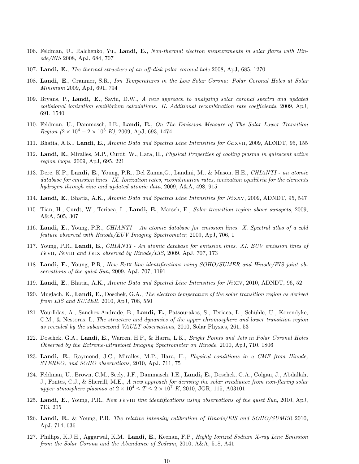- 106. Feldman, U., Ralchenko, Yu., Landi, E., Non-thermal electron measurements in solar flares with Hinode/EIS 2008, ApJ, 684, 707
- 107. Landi, E., The thermal structure of an off-disk polar coronal hole 2008, ApJ, 685, 1270
- 108. Landi, E., Cranmer, S.R., Ion Temperatures in the Low Solar Corona: Polar Coronal Holes at Solar Minimum 2009, ApJ, 691, 794
- 109. Bryans, P., Landi, E., Savin, D.W., A new approach to analyzing solar coronal spectra and updated collisional ionization equilibrium calculations. II. Additional recombination rate coefficients, 2009, ApJ, 691, 1540
- 110. Feldman, U., Dammasch, I.E., Landi, E., On The Emission Measure of The Solar Lower Transition Region  $(2 \times 10^4 - 2 \times 10^5 K)$ , 2009, ApJ, 693, 1474
- 111. Bhatia, A.K., Landi, E., Atomic Data and Spectral Line Intensities for Ca xvii, 2009, ADNDT, 95, 155
- 112. Landi, E., Miralles, M.P., Curdt, W., Hara, H., Physical Properties of cooling plasma in quiescent active region loops, 2009, ApJ, 695, 221
- 113. Dere, K.P., Landi, E., Young, P.R., Del Zanna,G., Landini, M., & Mason, H.E., CHIANTI an atomic database for emission lines. IX. Ionization rates, recombination rates, ionization equilibria for the elements hydrogen through zinc and updated atomic data, 2009, A&A, 498, 915
- 114. Landi, E., Bhatia, A.K., Atomic Data and Spectral Line Intensities for Ni xxv, 2009, ADNDT, 95, 547
- 115. Tian, H., Curdt, W., Teriaca, L., Landi, E., Marsch, E., Solar transition region above sunspots, 2009, A&A, 505, 307
- 116. Landi, E., Young, P.R., CHIANTI An atomic database for emission lines. X. Spectral atlas of a cold feature observed with Hinode/EUV Imaging Spectrometer, 2009, ApJ, 706, 1
- 117. Young, P.R., Landi, E., CHIANTI An atomic database for emission lines. XI. EUV emission lines of Fe VII, Fe VIII and Fe IX observed by Hinode/EIS, 2009, ApJ, 707, 173
- 118. Landi, E., Young, P.R., New Feix line identifications using SOHO/SUMER and Hinode/EIS joint observations of the quiet Sun, 2009, ApJ, 707, 1191
- 119. Landi, E., Bhatia, A.K., Atomic Data and Spectral Line Intensities for Ni xiv, 2010, ADNDT, 96, 52
- 120. Muglach, K., Landi, E., Doschek, G.A., The electron temperature of the solar transition region as derived from EIS and SUMER, 2010, ApJ, 708, 550
- 121. Vourlidas, A., Sanchez-Andrade, B., Landi, E., Patsourakos, S., Teriaca, L., Schühle, U., Korendyke, C.M., & Nestoras, I., The structure and dynamics of the upper chromosphere and lower transition region as revealed by the subarcsecond VAULT observations, 2010, Solar Physics, 261, 53
- 122. Doschek, G.A., Landi, E., Warren, H.P., & Harra, L.K., Bright Points and Jets in Polar Coronal Holes Observed by the Extreme-ultraviolet Imaging Spectrometer on Hinode, 2010, ApJ, 710, 1806
- 123. Landi, E., Raymond, J.C., Miralles, M.P., Hara, H., Physical conditions in a CME from Hinode, STEREO, and SOHO observations, 2010, ApJ, 711, 75
- 124. Feldman, U., Brown, C.M., Seely, J.F., Dammasch, I.E., Landi, E., Doschek, G.A., Colgan, J., Abdallah, J., Fontes, C.J., & Sherrill, M.E., A new approach for deriving the solar irradiance from non-flaring solar upper atmosphere plasmas at  $2 \times 10^4 \leq T \leq 2 \times 10^7$  K, 2010, JGR, 115, A03101
- 125. Landi, E., Young, P.R., New Fe viii line identifications using observations of the quiet Sun, 2010, ApJ, 713, 205
- 126. Landi, E., & Young, P.R. The relative intensity calibration of Hinode/EIS and SOHO/SUMER 2010, ApJ, 714, 636
- 127. Phillips, K.J.H., Aggarwal, K.M., Landi, E., Keenan, F.P., *Highly Ionized Sodium X-ray Line Emission* from the Solar Corona and the Abundance of Sodium, 2010, A&A, 518, A41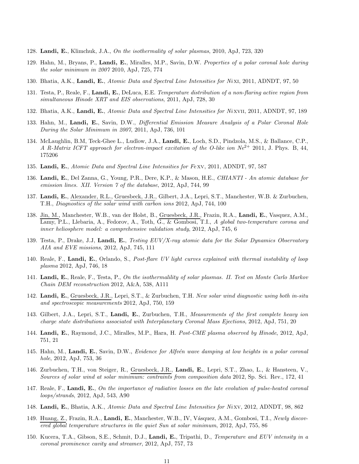- 128. Landi, E., Klimchuk, J.A., On the isothermality of solar plasmas, 2010, ApJ, 723, 320
- 129. Hahn, M., Bryans, P., Landi, E., Miralles, M.P., Savin, D.W. Properties of a polar coronal hole during the solar minimum in 2007 2010, ApJ, 725, 774
- 130. Bhatia, A.K., Landi, E., Atomic Data and Spectral Line Intensities for Ni xi, 2011, ADNDT, 97, 50
- 131. Testa, P., Reale, F., Landi, E., DeLuca, E.E. Temperature distribution of a non-flaring active region from simultaneous Hinode XRT and EIS observations, 2011, ApJ, 728, 30
- 132. Bhatia, A.K., Landi, E., Atomic Data and Spectral Line Intensities for Nixvii, 2011, ADNDT, 97, 189
- 133. Hahn, M., Landi, E., Savin, D.W., Differential Emission Measure Analysis of a Polar Coronal Hole During the Solar Minimum in 2007, 2011, ApJ, 736, 101
- 134. McLaughlin, B.M, Teck-Ghee L., Ludlow, J.A., Landi, E., Loch, S.D., Pindzola, M.S., & Ballance, C.P., A R-Matrix ICFT approach for electron-impact excitation of the O-like ion  $Ne^{2+}$  2011, J. Phys. B, 44, 175206
- 135. Landi, E., Atomic Data and Spectral Line Intensities for Fexy, 2011, ADNDT, 97, 587
- 136. Landi, E., Del Zanna, G., Young, P.R., Dere, K.P., & Mason, H.E., CHIANTI An atomic database for emission lines. XII. Version 7 of the database, 2012, ApJ, 744, 99
- 137. Landi, E., Alexander, R.L., Gruesbeck, J.R., Gilbert, J.A., Lepri, S.T., Manchester, W.B. & Zurbuchen, T.H., Diagnostics of the solar wind with carbon ions 2012, ApJ, 744, 100
- 138. Jin, M., Manchester, W.B., van der Holst, B., Gruesbeck, J.R., Frazin, R.A., Landi, E., Vasquez, A.M., Lamy, P.L., Llebaria, A., Fedorov, A., Toth, G., & Gombosi, T.I., A global two-temperature corona and inner heliosphere model: a comprehensive validation study, 2012, ApJ, 745, 6
- 139. Testa, P., Drake, J.J, Landi, E., Testing EUV/X-ray atomic data for the Solar Dynamics Observatory AIA and EVE missions, 2012, ApJ, 745, 111
- 140. Reale, F., Landi, E., Orlando, S., Post-flare UV light curves explained with thermal instability of loop plasma 2012, ApJ, 746, 18
- 141. Landi, E., Reale, F., Testa, P., On the isothermalility of solar plasmas. II. Test on Monte Carlo Markov Chain DEM reconstruction 2012, A&A, 538, A111
- 142. Landi, E., Gruesbeck, J.R., Lepri, S.T., & Zurbuchen, T.H. New solar wind diagnostic using both in-situ and spectroscopic measurements 2012, ApJ, 750, 159
- 143. Gilbert, J.A., Lepri, S.T., Landi, E., Zurbuchen, T.H., Measurements of the first complete heavy ion charge state distributions associated with Interplanetary Coronal Mass Ejections, 2012, ApJ, 751, 20
- 144. Landi, E., Raymond, J.C., Miralles, M.P., Hara, H. Post-CME plasma observed by Hinode, 2012, ApJ, 751, 21
- 145. Hahn, M., Landi, E., Savin, D.W., Evidence for Alfvén wave damping at low heights in a polar coronal hole, 2012, ApJ, 753, 36
- 146. Zurbuchen, T.H., von Steiger, R., Gruesbeck, J.R., Landi, E., Lepri, S.T., Zhao, L., & Hansteen, V., Sources of solar wind at solar minimum: contraints from composition data 2012, Sp. Sci. Rev., 172, 41
- 147. Reale, F., Landi, E., On the importance of radiative losses on the late evolution of pulse-heated coronal loops/strands, 2012, ApJ, 543, A90
- 148. Landi, E., Bhatia, A.K., Atomic Data and Spectral Line Intensities for Nixv, 2012, ADNDT, 98, 862
- 149. Huang, Z., Frazin, R.A., Landi, E., Manchester, W.B., IV, Vásquez, A.M., Gombosi, T.I., Newly discovered global temperature structures in the quiet Sun at solar minimum, 2012, ApJ, 755, 86
- 150. Kucera, T.A., Gibson, S.E., Schmit, D.J., Landi, E., Tripathi, D., Temperature and EUV intensity in a coronal prominence cavity and streamer, 2012, ApJ, 757, 73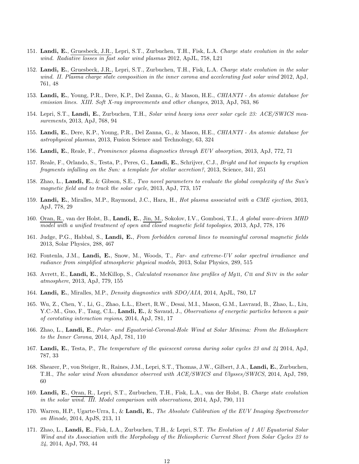- 151. Landi, E., Gruesbeck, J.R., Lepri, S.T., Zurbuchen, T.H., Fisk, L.A. Charge state evolution in the solar wind. Radiative losses in fast solar wind plasmas 2012, ApJL, 758, L21
- 152. Landi, E., Gruesbeck, J.R., Lepri, S.T., Zurbuchen, T.H., Fisk, L.A. Charge state evolution in the solar wind. II. Plasma charge state composition in the inner corona and accelerating fast solar wind 2012, ApJ, 761, 48
- 153. Landi, E., Young, P.R., Dere, K.P., Del Zanna, G., & Mason, H.E., CHIANTI An atomic database for emission lines. XIII. Soft X-ray improvements and other changes, 2013, ApJ, 763, 86
- 154. Lepri, S.T., Landi, E., Zurbuchen, T.H., Solar wind heavy ions over solar cycle 23: ACE/SWICS measurements, 2013, ApJ, 768, 94
- 155. Landi, E., Dere, K.P., Young, P.R., Del Zanna, G., & Mason, H.E., CHIANTI An atomic database for astrophysical plasmas, 2013, Fusion Science and Technology, 63, 324
- 156. Landi, E., Reale, F., Prominence plasma diagnostics through EUV absorption, 2013, ApJ, 772, 71
- 157. Reale, F., Orlando, S., Testa, P., Peres, G., Landi, E., Schrijver, C.J., Bright and hot impacts by eruption fragments infalling on the Sun: a template for stellar accretion?, 2013, Science, 341, 251
- 158. Zhao, L., Landi, E., & Gibson, S.E., Two novel parameters to evaluate the global complexity of the Sun's magnetic field and to track the solar cycle, 2013, ApJ, 773, 157
- 159. Landi, E., Miralles, M.P., Raymond, J.C., Hara, H., Hot plasma associated with a CME ejection, 2013, ApJ, 778, 29
- 160. Oran, R., van der Holst, B., Landi, E., Jin, M., Sokolov, I.V., Gombosi, T.I., A global wave-driven MHD model with a unified treatment of open and closed magnetic field topologies, 2013, ApJ, 778, 176
- 161. Judge, P.G., Habbal, S., Landi, E., From forbidden coronal lines to meaningful coronal magnetic fields 2013, Solar Physics, 288, 467
- 162. Fontenla, J.M., Landi, E., Snow, M., Woods, T., Far- and extreme-UV solar spectral irradiance and radiance from simplified atmospheric physical models, 2013, Solar Physics, 289, 515
- 163. Avrett, E., Landi, E., McKillop, S., Calculated resonance line profiles of MgII, CII and SiIV in the solar atmosphere, 2013, ApJ, 779, 155
- 164. Landi, E., Miralles, M.P., Density diagnostics with SDO/AIA, 2014, ApJL, 780, L7
- 165. Wu, Z., Chen, Y., Li, G., Zhao, L.L., Ebert, R.W., Desai, M.I., Mason, G.M., Lavraud, B., Zhao, L., Liu, Y.C.-M., Guo, F., Tang, C.L., Landi, E., & Savaud, J., Observations of energetic particles between a pair of corotating interaction regions, 2014, ApJ, 781, 17
- 166. Zhao, L., Landi, E., Polar- and Equatorial-Coronal-Hole Wind at Solar Minima: From the Heliosphere to the Inner Corona, 2014, ApJ, 781, 110
- 167. Landi, E., Testa, P., The temperature of the quiescent corona during solar cycles 23 and 24 2014, ApJ, 787, 33
- 168. Shearer, P., von Steiger, R., Raines, J.M., Lepri, S.T., Thomas, J.W., Gilbert, J.A., Landi, E., Zurbuchen, T.H., The solar wind Neon abundance observed with ACE/SWICS and Ulysses/SWICS, 2014, ApJ, 789, 60
- 169. Landi, E., Oran, R., Lepri, S.T., Zurbuchen, T.H., Fisk, L.A., van der Holst, B. Charge state evolution in the solar wind. III. Model comparison with observations, 2014, ApJ, 790, 111
- 170. Warren, H.P., Ugarte-Urra, I., & Landi, E., The Absolute Calibration of the EUV Imaging Spectrometer on Hinode, 2014, ApJS, 213, 11
- 171. Zhao, L., Landi, E., Fisk, L.A., Zurbuchen, T.H., & Lepri, S.T. The Evolution of 1 AU Equatorial Solar Wind and its Association with the Morphology of the Heliospheric Current Sheet from Solar Cycles 23 to 24, 2014, ApJ, 793, 44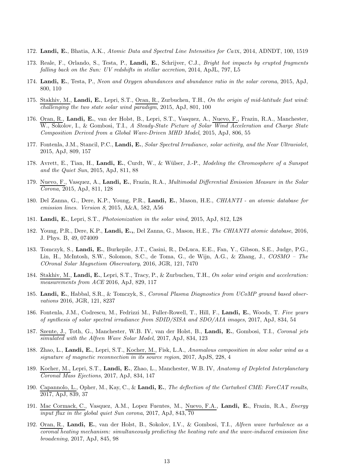- 172. Landi, E., Bhatia, A.K., Atomic Data and Spectral Line Intensities for Ca IX, 2014, ADNDT, 100, 1519
- 173. Reale, F., Orlando, S., Testa, P., Landi, E., Schrijver, C.J., Bright hot impacts by erupted fragments falling back on the Sun: UV redshifts in stellar accretion, 2014, ApJL, 797, L5
- 174. Landi, E., Testa, P., Neon and Oxygen abundances and abundance ratio in the solar corona, 2015, ApJ, 800, 110
- 175. Stakhiv, M., Landi, E., Lepri, S.T., Oran, R., Zurbuchen, T.H., On the origin of mid-latitude fast wind: challenging the two state solar wind paradigm, 2015, ApJ, 801, 100
- 176. Oran, R., Landi, E., van der Holst, B., Lepri, S.T., Vasquez, A., Nuevo, F., Frazin, R.A., Manchester, W., Sokolov, I., & Gombosi, T.I., A Steady-State Picture of Solar Wind Acceleration and Charge State Composition Derived from a Global Wave-Driven MHD Model, 2015, ApJ, 806, 55
- 177. Fontenla, J.M., Stancil, P.C., Landi, E., Solar Spectral Irradiance, solar activity, and the Near Ultraviolet, 2015, ApJ, 809, 157
- 178. Avrett, E., Tian, H., Landi, E., Curdt, W., & Wülser, J.-P., Modeling the Chromosphere of a Sunspot and the Quiet Sun, 2015, ApJ, 811, 88
- 179. Nuevo, F., Vasquez, A., Landi, E., Frazin, R.A., *Multimodal Differential Emission Measure in the Solar* Corona, 2015, ApJ, 811, 128
- 180. Del Zanna, G., Dere, K.P., Young, P.R., Landi, E., Mason, H.E., CHIANTI an atomic database for emission lines. Version 8, 2015, A&A, 582, A56
- 181. Landi, E., Lepri, S.T., Photoionization in the solar wind, 2015, ApJ, 812, L28
- 182. Young, P.R., Dere, K.P., Landi, E.,, Del Zanna, G., Mason, H.E., The CHIANTI atomic database, 2016, J. Phys. B, 49, 074009
- 183. Tomczyk, S., Landi, E., Burkepile, J.T., Casini, R., DeLuca, E.E., Fan, Y., Gibson, S.E., Judge, P.G., Lin, H., McIntosh, S.W., Solomon, S.C., de Toma, G., de Wijn, A.G., & Zhang, J., COSMO – The COronal Solar Magnetism Observatory, 2016, JGR, 121, 7470
- 184. Stakhiv, M., Landi, E., Lepri, S.T., Tracy, P., & Zurbuchen, T.H., On solar wind origin and acceleration: measurements from ACE 2016, ApJ, 829, 117
- 185. Landi, E., Habbal, S.R., & Tomczyk, S., Coronal Plasma Diagnostics from UCoMP ground based observations 2016, JGR, 121, 8237
- 186. Fontenla, J.M., Codrescu, M., Fedrizzi M., Fuller-Rowell, T., Hill, F., Landi, E., Woods, T. Five years of synthesis of solar spectral irradiance from SDID/SISA and SDO/AIA images, 2017, ApJ, 834, 54
- 187. Szente, J., Toth, G., Manchester, W.B. IV, van der Holst, B., Landi, E., Gombosi, T.I., Coronal jets simulated with the Alfven Wave Solar Model, 2017, ApJ, 834, 123
- 188. Zhao, L., Landi, E., Lepri, S.T., Kocher, M., Fisk, L.A., Anomalous composition in slow solar wind as a signature of magnetic reconnection in its source region, 2017, ApJS, 228, 4
- 189. Kocher, M., Lepri, S.T., Landi, E., Zhao, L., Manchester, W.B. IV, Anatomy of Depleted Interplanetary Coronal Mass Ejections, 2017, ApJ, 834, 147
- 190. Capannolo, L., Opher, M., Kay, C., & Landi, E., The deflection of the Cartwheel CME: ForeCAT results, 2017, ApJ, 839, 37
- 191. Mac Cormack, C., Vasquez, A.M., Lopez Fuentes, M., Nuevo, F.A., Landi, E., Frazin, R.A., Energy input flux in the global quiet Sun corona, 2017, ApJ, 843, 70
- 192. Oran, R., Landi, E., van der Holst, B., Sokolov, I.V., & Gombosi, T.I., Alfven wave turbulence as a coronal heating mechanism: simultaneously predicting the heating rate and the wave-induced emission line broadening, 2017, ApJ, 845, 98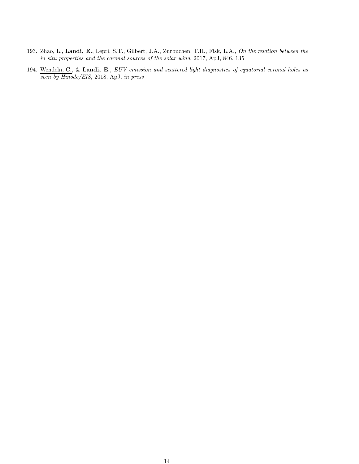- 193. Zhao, L., Landi, E., Lepri, S.T., Gilbert, J.A., Zurbuchen, T.H., Fisk, L.A., On the relation between the in situ properties and the coronal sources of the solar wind, 2017, ApJ, 846, 135
- 194. Wendeln, C., & Landi, E., EUV emission and scattered light diagnostics of equatorial coronal holes as seen by Hinode/EIS, 2018, ApJ, in press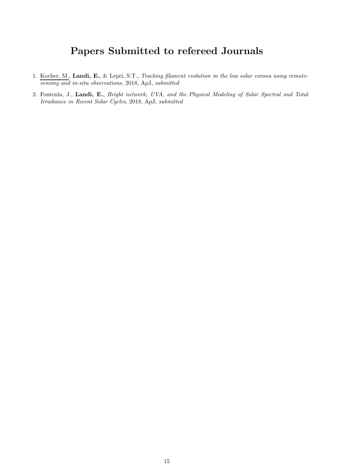# Papers Submitted to refereed Journals

- 1. Kocher, M., Landi, E., & Lepri, S.T., Tracking filament evolution in the low solar corona using remotesensing and in-situ observations, 2018, ApJ, submitted
- 2. Fontenla, J., Landi, E., Bright network, UVA, and the Physical Modeling of Solar Spectral and Total Irradiance in Recent Solar Cycles, 2018, ApJ, submitted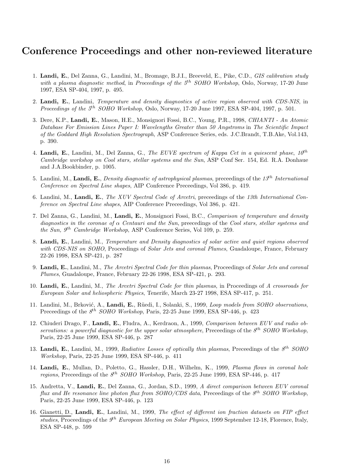### Conference Proceedings and other non-reviewed literature

- 1. Landi, E., Del Zanna, G., Landini, M., Bromage, B.J.I., Breeveld, E., Pike, C.D., GIS calibration study with a plasma diagnostic method, in Proceedings of the  $5<sup>th</sup>$  SOHO Workshop, Oslo, Norway, 17-20 June 1997, ESA SP-404, 1997, p. 495.
- 2. Landi, E., Landini, Temperature and density diagnostics of active region observed with CDS-NIS, in *Proceedings of the*  $5<sup>th</sup>$  *SOHO Workshop*, Oslo, Norway, 17-20 June 1997, ESA SP-404, 1997, p. 501.
- 3. Dere, K.P., Landi, E., Mason, H.E., Monsignori Fossi, B.C., Young, P.R., 1998, CHIANTI An Atomic Database For Emission Lines Paper I: Wavelengths Greater than 50 Angstroms in The Scientific Impact of the Goddard High Resolution Spectrograph, ASP Conference Series, eds. J.C.Brandt, T.B.Ake, Vol.143, p. 390.
- 4. Landi, E., Landini, M., Del Zanna, G., The EUVE spectrum of Kappa Cet in a quiescent phase,  $10^{th}$ Cambridge workshop on Cool stars, stellar systems and the Sun, ASP Conf Ser. 154, Ed. R.A. Donhaue and J.A.Bookbinder, p. 1005.
- 5. Landini, M., Landi, E., Density diagnostic of astrophysical plasmas, preceedings of the  $13^{th}$  International Conference on Spectral Line shapes, AIP Conference Preceedings, Vol 386, p. 419.
- 6. Landini, M., Landi, E., The XUV Spectral Code of Arcetri, preceedings of the 13th International Conference on Spectral Line shapes, AIP Conference Preceedings, Vol 386, p. 421.
- 7. Del Zanna, G., Landini, M., Landi, E., Monsignori Fossi, B.C., Comparison of temperature and density diagnostics in the coronae of  $\alpha$  Centauri and the Sun, preecedings of the Cool stars, stellar systems and the Sun,  $9<sup>th</sup> Cambridge Workshop$ , ASP Conference Series, Vol 109, p. 259.
- 8. Landi, E., Landini, M., Temperature and Density diagnostics of solar active and quiet regions observed with CDS-NIS on SOHO, Proceedings of Solar Jets and coronal Plumes, Guadaloupe, France, February 22-26 1998, ESA SP-421, p. 287
- 9. Landi, E., Landini, M., The Arcetri Spectral Code for thin plasmas, Proceedings of Solar Jets and coronal Plumes, Guadaloupe, France, February 22-26 1998, ESA SP-421, p. 293.
- 10. Landi, E., Landini, M., The Arcetri Spectral Code for thin plasmas, in Proceedings of A crossroads for European Solar and heliospheric Physics, Tenerife, March 23-27 1998, ESA SP-417, p. 251.
- 11. Landini, M., Brković, A., Landi, E., Rüedi, I., Solanki, S., 1999, Loop models from SOHO observations, Preceedings of the  $8^{th}$  SOHO Workshop, Paris, 22-25 June 1999, ESA SP-446, p. 423
- 12. Chiuderi Drago, F., Landi, E., Fludra, A., Kerdraon, A., 1999, Comparison between EUV and radio observations: a powerful diagnostic for the upper solar atmosphere, Preceedings of the  $8<sup>th</sup>$  SOHO Workshop, Paris, 22-25 June 1999, ESA SP-446, p. 287
- 13. Landi, E., Landini, M., 1999, Radiative Losses of optically thin plasmas, Preceedings of the  $8<sup>th</sup>$  SOHO Workshop, Paris, 22-25 June 1999, ESA SP-446, p. 411
- 14. Landi, E., Mullan, D., Poletto, G., Hassler, D.H., Wilhelm, K., 1999, Plasma flows in coronal hole regions, Preceedings of the  $8<sup>th</sup>$  SOHO Workshop, Paris, 22-25 June 1999, ESA SP-446, p. 417
- 15. Andretta, V., Landi, E., Del Zanna, G., Jordan, S.D., 1999, A direct comparison between EUV coronal flux and He resonance line photon flux from SOHO/CDS data, Preceedings of the  $8^{th}$  SOHO Workshop, Paris, 22-25 June 1999, ESA SP-446, p. 123
- 16. Gianetti, D., Landi, E., Landini, M., 1999, The effect of different ion fraction datasets on FIP effect studies, Proceedings of the  $9<sup>th</sup> European Meeting on Solar Physics, 1999 September 12-18, Florence, Italy,$ ESA SP-448, p. 599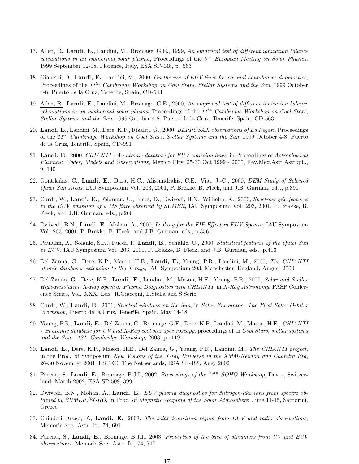- 17. Allen, R., Landi, E., Landini, M., Bromage, G.E., 1999, An empirical test of different ionization balance calculations in an isothermal solar plasma, Proceedings of the  $9<sup>th</sup>$  European Meeting on Solar Physics, 1999 September 12-18, Florence, Italy, ESA SP-448, p. 563
- 18. Gianetti, D., Landi, E., Landini, M., 2000, On the use of EUV lines for coronal abundances diagnostics, Proceedings of the 11<sup>th</sup> Cambridge Workshop on Cool Stars, Stellar Systems and the Sun, 1999 October 4-8, Puerto de la Cruz, Tenerife, Spain, CD-643
- 19. Allen, R., Landi, E., Landini, M., Bromage, G.E., 2000, An empirical test of different ionization balance calculations in an isothermal solar plasma, Proceedings of the  $11^{th}$  Cambridge Workshop on Cool Stars, Stellar Systems and the Sun, 1999 October 4-8, Puerto de la Cruz, Tenerife, Spain, CD-563
- 20. Landi, E., Landini, M., Dere, K.P., Risaliti, G., 2000, BEPPOSAX observations of Eq Pegasi, Proceedings of the 11th Cambridge Workshop on Cool Stars, Stellar Systems and the Sun, 1999 October 4-8, Puerto de la Cruz, Tenerife, Spain, CD-991
- 21. Landi, E., 2000, CHIANTI An atomic database for EUV emission lines, in Proceedings of Astrophysical Plasmas: Codes, Models and Observations, Mexico City, 25-30 Oct 1999 - 2000, Rev.Mex.Astr.Astroph., 9, 140
- 22. Gontikakis, C., Landi, E., Dara, H.C., Alissandrakis, C.E., Vial, J.-C., 2000, DEM Study of Selected Quiet Sun Areas, IAU Symposium Vol. 203, 2001, P. Brekke, B. Fleck, and J.B. Gurman, eds., p.390
- 23. Curdt, W., Landi, E., Feldman, U., Innes, D., Dwivedi, B.N., Wilhelm, K., 2000, Spectroscopic features in the EUV emission of a M8 flare observed by SUMER, IAU Symposium Vol. 203, 2001, P. Brekke, B. Fleck, and J.B. Gurman, eds., p.260
- 24. Dwivedi, B.N., Landi, E., Mohan, A., 2000, *Looking for the FIP Effect in EUV Spectra*, IAU Symposium Vol. 203, 2001, P. Brekke, B. Fleck, and J.B. Gurman, eds., p.356
- 25. Pauluhn, A., Solanki, S.K., Rüedi, I., Landi, E., Schühle, U., 2000, Statistical features of the Quiet Sun in EUV, IAU Symposium Vol. 203, 2001, P. Brekke, B. Fleck, and J.B. Gurman, eds., p.416
- 26. Del Zanna, G., Dere, K.P., Mason, H.E., Landi, E., Young, P.R., Landini, M., 2000, The CHIANTI atomic database: extension to the X-rays, IAU Symposium 203, Manchester, England, August 2000
- 27. Del Zanna, G., Dere, K.P., Landi, E., Landini, M., Mason, H.E., Young, P.R., 2000, Solar and Stellar High-Resolution X-Ray Spectra: Plasma Diagnostics with CHIANTI, in X-Ray Astronomy, PASP Conference Series, Vol. XXX, Eds. R.Giacconi, L.Stella and S.Serio
- 28. Curdt, W., Landi, E., 2001, Spectral windows on the Sun, in Solar Encounter: The First Solar Orbiter Workshop, Puerto de la Cruz, Tenerife, Spain, May 14-18
- 29. Young, P.R., Landi, E., Del Zanna, G., Bromage, G.E., Dere, K.P., Landini, M., Mason, H.E., CHIANTI - an atomic database for UV and X-Ray cool star spectroscopy, proceedings of th Cool Stars, stellar systems and the Sun -  $12^{th}$  Cambridge Workshop, 2003, p.1119
- 30. Landi, E., Dere, K.P., Mason, H.E., Del Zanna, G., Young, P.R., Landini, M., The CHIANTI project, in the Proc. of Symposium New Visions of the X-ray Universe in the XMM-Newton and Chandra Era, 26-30 November 2001, ESTEC, The Netherlands, ESA SP-488, Aug. 2002
- 31. Parenti, S., Landi, E., Bromage, B.J.I., 2002, Proceedings of the 11<sup>th</sup> SOHO Workshop, Davos, Switzerland, March 2002, ESA SP-508, 399
- 32. Dwivedi, B.N., Mohan, A., Landi, E., EUV plasma diagnostics for Nitrogen-like ions from spectra obtained by SUMER/SOHO, in Proc. of Magnetic coupling of the Solar Atmosphere, June 11-15, Santorini, Greece
- 33. Chiuderi Drago, F., Landi, E., 2003, The solar transition region from EUV and radio observations, Memorie Soc. Astr. It., 74, 691
- 34. Parenti, S., Landi, E., Bromage, B.J.I., 2003, Properties of the base of streamers from UV and EUV observations, Memorie Soc. Astr. It., 74, 717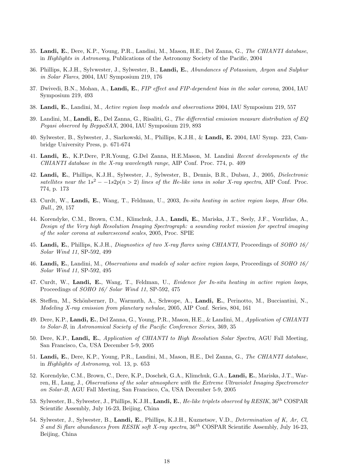- 35. Landi, E., Dere, K.P., Young, P.R., Landini, M., Mason, H.E., Del Zanna, G., The CHIANTI database, in Highlights in Astronomy, Publications of the Astronomy Society of the Pacific, 2004
- 36. Phillips, K.J.H., Sylvwester, J., Sylwester, B., Landi, E., Abundances of Potassium, Argon and Sulphur in Solar Flares, 2004, IAU Symposium 219, 176
- 37. Dwivedi, B.N., Mohan, A., Landi, E., FIP effect and FIP-dependent bias in the solar corona, 2004, IAU Symposium 219, 493
- 38. Landi, E., Landini, M., Active region loop models and observations 2004, IAU Symposium 219, 557
- 39. Landini, M., Landi, E., Del Zanna, G., Risaliti, G., The differential emission measure distribution of  $EQ$ Pegasi observed by BeppoSAX, 2004, IAU Symposium 219, 893
- 40. Sylwester, B., Sylwester, J., Siarkowski, M., Phillips, K.J.H., & Landi, E. 2004, IAU Symp. 223, Cambridge University Press, p. 671-674
- 41. Landi, E., K.P.Dere, P.R.Young, G.Del Zanna, H.E.Mason, M. Landini Recent developments of the CHIANTI database in the X-ray wavelength range, AIP Conf. Proc. 774, p. 409
- 42. Landi, E., Phillips, K.J.H., Sylwester, J., Sylwester, B., Dennis, B.R., Dubau, J., 2005, *Dielectronic* satellites near the  $1s^2 - -1s2p(n > 2)$  lines of the He-like ions in solar X-ray spectra, AIP Conf. Proc. 774, p. 173
- 43. Curdt, W., Landi, E., Wang, T., Feldman, U., 2003, In-situ heating in active region loops, Hvar Obs. Bull., 29, 157
- 44. Korendyke, C.M., Brown, C.M., Klimchuk, J.A., Landi, E., Mariska, J.T., Seely, J.F., Vourlidas, A., Design of the Very high Resolution Imaging Spectrograph: a sounding rocket mission for spectral imaging of the solar corona at subarcsecond scales, 2005, Proc. SPIE
- 45. Landi, E., Phillips, K.J.H., *Diagnostics of two X-ray flares using CHIANTI*, Proceedings of *SOHO* 16/ Solar Wind 11, SP-592, 499
- 46. Landi, E., Landini, M., Observations and models of solar active region loops, Proceedings of SOHO 16/ Solar Wind 11, SP-592, 495
- 47. Curdt, W., Landi, E., Wang, T., Feldman, U., Evidence for In-situ heating in active region loops, Proceedings of SOHO 16/ Solar Wind 11, SP-592, 475
- 48. Steffen, M., Schönberner, D., Warmuth, A., Schwope, A., Landi, E., Perinotto, M., Bucciantini, N., Modeling X-ray emission from planetary nebulae, 2005, AIP Conf. Series, 804, 161
- 49. Dere, K.P., Landi, E., Del Zanna, G., Young, P.R., Mason, H.E., & Landini, M., Application of CHIANTI to Solar-B, in Astronomical Society of the Pacific Conference Series, 369, 35
- 50. Dere, K.P., Landi, E., Application of CHIANTI to High Resolution Solar Spectra, AGU Fall Meeting, San Francisco, Ca, USA December 5-9, 2005
- 51. Landi, E., Dere, K.P., Young, P.R., Landini, M., Mason, H.E., Del Zanna, G., The CHIANTI database, in Highlights of Astronomy, vol. 13, p. 653
- 52. Korendyke, C.M., Brown, C., Dere, K.P., Doschek, G.A., Klimchuk, G.A., Landi, E., Mariska, J.T., Warren, H., Lang, J., Observations of the solar atmosphere with the Extreme Ultraviolet Imaging Spectrometer on Solar-B, AGU Fall Meeting, San Francisco, Ca, USA December 5-9, 2005
- 53. Sylwester, B., Sylwester, J., Phillips, K.J.H., Landi, E., He-like triplets observed by RESIK, 36<sup>th</sup> COSPAR Scientific Assembly, July 16-23, Beijing, China
- 54. Sylwester, J., Sylwester, B., Landi, E., Phillips, K.J.H., Kuznetsov, V.D., Determination of K, Ar, Cl, S and Si flare abundances from RESIK soft X-ray spectra,  $36^{th}$  COSPAR Scientific Assembly, July 16-23, Beijing, China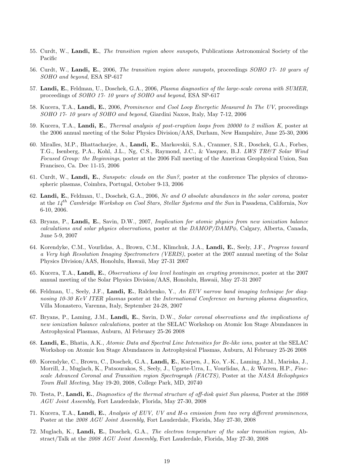- 55. Curdt, W., Landi, E., The transition region above sunspots, Publications Astronomical Society of the Pacific
- 56. Curdt, W., Landi, E., 2006, The transition region above sunspots, proceedings SOHO 17- 10 years of SOHO and beyond, ESA SP-617
- 57. Landi, E., Feldman, U., Doschek, G.A., 2006, Plasma diagnostics of the large-scale corona with SUMER, proceedings of SOHO 17- 10 years of SOHO and beyond, ESA SP-617
- 58. Kucera, T.A., Landi, E., 2006, Prominence and Cool Loop Energetic Measured In The UV, proceedings SOHO 17- 10 years of SOHO and beyond, Giardini Naxos, Italy, May 7-12, 2006
- 59. Kucera, T.A., Landi, E., Thermal analysis of post-eruption loops from 20000 to 2 million K, poster at the 2006 annual meeting of the Solar Physics Division/AAS, Durham, New Hampshire, June 25-30, 2006
- 60. Miralles, M.P., Bhattacharjee, A., Landi, E., Markovskii, S.A., Cranmer, S.R., Doschek, G.A., Forbes, T.G., Isenberg, P.A., Kohl, J.L., Ng, C.S., Raymond, J.C., & Vasquez, B.J. LWS TR&T Solar Wind Focused Group: the Beginnings, poster at the 2006 Fall meeting of the American Geophysical Union, San Francisco, Ca. Dec 11-15, 2006
- 61. Curdt, W., Landi, E., Sunspots: clouds on the Sun?, poster at the conference The physics of chromospheric plasmas, Coimbra, Portugal, October 9-13, 2006
- 62. Landi, E., Feldman, U., Doschek, G.A., 2006, Ne and O absolute abundances in the solar corona, poster at the  $14^{th}$  Cambridge Workshop on Cool Stars, Stellar Systems and the Sun in Pasadena, California, Nov 6-10, 2006.
- 63. Bryans, P., Landi, E., Savin, D.W., 2007, Implication for atomic physics from new ionization balance calculations and solar physics observations, poster at the DAMOP/DAMPφ, Calgary, Alberta, Canada, June 5-9, 2007
- 64. Korendyke, C.M., Vourlidas, A., Brown, C.M., Klimchuk, J.A., Landi, E., Seely, J.F., Progress toward a Very high Resolution Imaging Spectrometers (VERIS), poster at the 2007 annual meeting of the Solar Physics Division/AAS, Honolulu, Hawaii, May 27-31 2007
- 65. Kucera, T.A., Landi, E., Observations of low level heatingin an erupting prominence, poster at the 2007 annual meeting of the Solar Physics Division/AAS, Honolulu, Hawaii, May 27-31 2007
- 66. Feldman, U., Seely, J.F., Landi, E., Ralchenko, Y., An EUV narrow band imaging technique for diagnosing 10-30 KeV ITER plasmas poster at the International Conference on burning plasma diagnostics, Villa Monastero, Varenna, Italy, September 24-28, 2007
- 67. Bryans, P., Laming, J.M., Landi, E., Savin, D.W., Solar coronal observations and the implications of new ionization balance calculations, poster at the SELAC Workshop on Atomic Ion Stage Abundances in Astrophysical Plasmas, Auburn, Al February 25-26 2008
- 68. Landi, E., Bhatia, A.K., Atomic Data and Spectral Line Intensities for Be-like ions, poster at the SELAC Workshop on Atomic Ion Stage Abundances in Astrophysical Plasmas, Auburn, Al February 25-26 2008
- 69. Korendyke, C., Brown, C., Doschek, G.A., Landi, E., Karpen, J., Ko, Y.-K., Laming, J.M., Mariska, J., Morrill, J., Muglach, K., Patsourakos, S., Seely, J., Ugarte-Urra, I., Vourlidas, A., & Warren, H.P., Finescale Advanced Coronal and Transition region Spectrograph (FACTS), Poster at the NASA Heliophysics Town Hall Meeting, May 19-20, 2008, College Park, MD, 20740
- 70. Testa, P., Landi, E., Diagnostics of the thermal structure of off-disk quiet Sun plasma, Poster at the 2008 AGU Joint Assembly, Fort Lauderdale, Florida, May 27-30, 2008
- 71. Kucera, T.A., Landi, E., Analysis of EUV, UV and H- $\alpha$  emission from two very different prominences, Poster at the 2008 AGU Joint Assembly, Fort Lauderdale, Florida, May 27-30, 2008
- 72. Muglach, K., Landi, E., Doschek, G.A., The electron temperature of the solar transition region, Abstract/Talk at the 2008 AGU Joint Assembly, Fort Lauderdale, Florida, May 27-30, 2008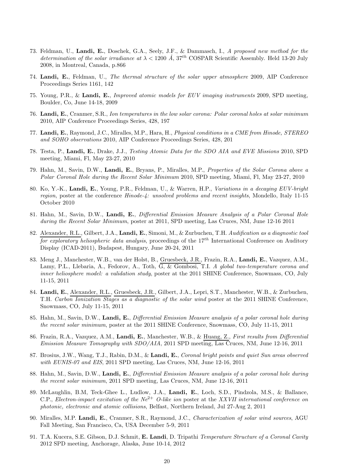- 73. Feldman, U., Landi, E., Doschek, G.A., Seely, J.F., & Dammasch, I., A proposed new method for the determination of the solar irradiance at  $\lambda < 1200 \text{ Å}$ ,  $37^{th}$  COSPAR Scientific Assembly. Held 13-20 July 2008, in Montreal, Canada, p.866
- 74. Landi, E., Feldman, U., The thermal structure of the solar upper atmosphere 2009, AIP Conference Proceedings Series 1161, 142
- 75. Young, P.R., & Landi, E., Improved atomic models for EUV imaging instruments 2009, SPD meeting, Boulder, Co, June 14-18, 2009
- 76. Landi, E., Cranmer, S.R., Ion temperatures in the low solar corona: Polar coronal holes at solar minimum 2010, AIP Conference Proceedings Series, 428, 197
- 77. Landi, E., Raymond, J.C., Miralles, M.P., Hara, H., *Physical conditions in a CME from Hinode, STEREO* and SOHO observations 2010, AIP Conference Proceedings Series, 428, 201
- 78. Testa, P., Landi, E., Drake, J.J., Testing Atomic Data for the SDO AIA and EVE Missions 2010, SPD meeting, Miami, Fl, May 23-27, 2010
- 79. Hahn, M., Savin, D.W., Landi, E., Bryans, P., Miralles, M.P., Properties of the Solar Corona above a Polar Coronal Hole during the Recent Solar Minimum 2010, SPD meeting, Miami, Fl, May 23-27, 2010
- 80. Ko, Y.-K., Landi, E., Young, P.R., Feldman, U., & Warren, H.P., Variations in a decaying EUV-bright region, poster at the conference Hinode-4: unsolved problems and recent insights, Mondello, Italy 11-15 October 2010
- 81. Hahn, M., Savin, D.W., Landi, E., Differential Emission Measure Analysis of a Polar Coronal Hole during the Recent Solar Minimum, poster at 2011, SPD meeting, Las Cruces, NM, June 12-16 2011
- 82. Alexander, R.L., Gilbert, J.A., Landi, E., Simoni, M., & Zurbuchen, T.H. Audification as a diagnostic tool for exploratory heliospheric data analysis, proceedings of the  $17^{th}$  International Conference on Auditory Display (ICAD-2011), Budapest, Hungary, June 20-24, 2011
- 83. Meng J., Manchester, W.B., van der Holst, B., Gruesbeck, J.R., Frazin, R.A., Landi, E., Vazquez, A.M., Lamy, P.L., Llebaria, A., Fedorov, A., Toth, G. & Gombosi, T.I. A global two-temperature corona and inner heliosphere model: a validation study, poster at the 2011 SHINE Conference, Snowmass, CO, July 11-15, 2011
- 84. Landi, E., Alexander, R.L., Gruesbeck, J.R., Gilbert, J.A., Lepri, S.T., Manchester, W.B., & Zurbuchen, T.H. Carbon Ionization Stages as a diagnostic of the solar wind poster at the 2011 SHINE Conference, Snowmass, CO, July 11-15, 2011
- 85. Hahn, M., Savin, D.W., Landi, E., Differential Emission Measure analysis of a polar coronal hole during the recent solar minimum, poster at the 2011 SHINE Conference, Snowmass, CO, July 11-15, 2011
- 86. Frazin, R.A., Vazquez, A.M., Landi, E., Manchester, W.B., & Huang, Z., First results from Differential Emission Measure Tomography with SDO/AIA, 2011 SPD meeting, Las Cruces, NM, June 12-16, 2011
- 87. Brosius, J.W., Wang, T.J., Rabin, D.M., & Landi, E., Coronal bright points and quiet Sun areas observed with EUNIS-07 and EIS, 2011 SPD meeting, Las Cruces, NM, June 12-16, 2011
- 88. Hahn, M., Savin, D.W., Landi, E., Differential Emission Measure analysis of a polar coronal hole during the recent solar minimum, 2011 SPD meeting, Las Cruces, NM, June 12-16, 2011
- 89. McLaughlin, B.M, Teck-Ghee L., Ludlow, J.A., Landi, E., Loch, S.D., Pindzola, M.S., & Ballance, C.P., Electron-impact excitation of the  $Ne^{2+}$  O-like ion poster at the XXVII international conference on photonic, electronic and atomic collisions, Belfast, Northern Ireland, Jul 27-Aug 2, 2011
- 90. Miralles, M.P. Landi, E., Cranmer, S.R., Raymond, J.C., Characterization of solar wind sources, AGU Fall Meeting, San Francisco, Ca, USA December 5-9, 2011
- 91. T.A. Kucera, S.E. Gibson, D.J. Schmit, E. Landi, D. Tripathi Temperature Structure of a Coronal Cavity 2012 SPD meeting, Anchorage, Alaska, June 10-14, 2012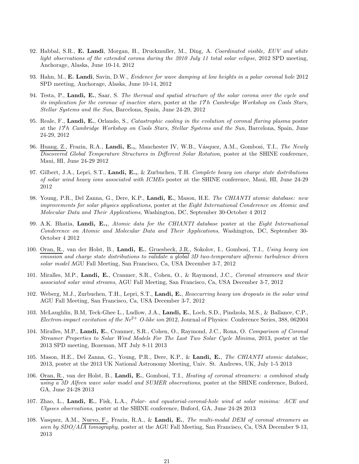- 92. Habbal, S.R., E. Landi, Morgan, H., Druckmuller, M., Ding, A. Coordinated visible, EUV and white light observations of the extended corona during the 2010 July 11 total solar eclipse, 2012 SPD meeting, Anchorage, Alaska, June 10-14, 2012
- 93. Hahn, M., E. Landi, Savin, D.W., Evidence for wave damping at low heights in a polar coronal hole 2012 SPD meeting, Anchorage, Alaska, June 10-14, 2012
- 94. Testa, P., Landi, E., Saar, S. The thermal and spatial structure of the solar corona over the cycle and its implication for the coronae of inactive stars, poster at the  $17<sup>th</sup>$  Cambridge Workshop on Cools Stars, Stellar Systems and the Sun, Barcelona, Spain, June 24-29, 2012
- 95. Reale, F., Landi, E., Orlando, S., Catastrophic cooling in the evolution of coronal flaring plasma poster at the  $17<sup>th</sup>$  Cambridge Workshop on Cools Stars, Stellar Systems and the Sun, Barcelona, Spain, June 24-29, 2012
- 96. Huang, Z., Frazin, R.A., Landi, E.,, Manchester IV, W.B., Vásquez, A.M., Gombosi, T.I., The Newly Discovered Global Temperature Structures in Different Solar Rotation, poster at the SHINE conference, Maui, HI, June 24-29 2012
- 97. Gilbert, J.A., Lepri, S.T., Landi, E.,, & Zurbuchen, T.H. Complete heavy ion charge state distributions of solar wind heavy ions associated with ICMEs poster at the SHINE conference, Maui, HI, June 24-29 2012
- 98. Young, P.R., Del Zanna, G., Dere, K.P., Landi, E., Mason, H.E. The CHIANTI atomic database: new improvements for solar physics applications, poster at the Eight International Conderence on Atomic and Molecular Data and Their Applications, Washington, DC, September 30-October 4 2012
- 99. A.K. Bhatia, Landi, E.,, Atomic data for the CHIANTI database poster at the Eight International Conderence on Atomic and Molecular Data and Their Applications, Washington, DC, September 30- October 4 2012
- 100. Oran, R., van der Holst, B., Landi, E., Gruesbeck, J.R., Sokolov, I., Gombosi, T.I., Using heavy ion emission and charge state distributions to validate a global 3D two-temperature alfvenic turbulence driven solar model AGU Fall Meeting, San Francisco, Ca, USA December 3-7, 2012
- 101. Miralles, M.P., Landi, E., Cranmer, S.R., Cohen, O., & Raymond, J.C., Coronal streamers and their associated solar wind streams, AGU Fall Meeting, San Francisco, Ca, USA December 3-7, 2012
- 102. Weberg, M.J., Zurbuchen, T.H., Lepri, S.T., Landi, E., Reoccurring heavy ion dropouts in the solar wind AGU Fall Meeting, San Francisco, Ca, USA December 3-7, 2012
- 103. McLaughlin, B.M, Teck-Ghee L., Ludlow, J.A., Landi, E., Loch, S.D., Pindzola, M.S., & Ballance, C.P., Electron-impact excitation of the  $Ne^{2+}$  O-like ion 2012, Journal of Physics: Conference Series, 388, 062004
- 104. Miralles, M.P., Landi, E., Cranmer, S.R., Cohen, O., Raymond, J.C., Rona, O. Comparison of Coronal Streamer Properties to Solar Wind Models For The Last Two Solar Cycle Minima, 2013, poster at the 2013 SPD meeting, Bozeman, MT July 8-11 2013
- 105. Mason, H.E., Del Zanna, G., Young, P.R., Dere, K.P., & Landi, E., The CHIANTI atomic database, 2013, poster at the 2013 UK National Astronomy Meeting, Univ. St. Andrews, UK, July 1-5 2013
- 106. Oran, R., van der Holst, B., Landi, E., Gombosi, T.I., Heating of coronal streamers: a combined study using a 3D Alfven wave solar model and SUMER observations, poster at the SHINE conference, Buford, GA, June 24-28 2013
- 107. Zhao, L., Landi, E., Fisk, L.A., Polar- and equatorial-coronal-hole wind at solar minima: ACE and Ulysses observations, poster at the SHINE conference, Buford, GA, June 24-28 2013
- 108. Vasquez, A.M., Nuevo, F., Frazin, R.A., & Landi, E., The multi-modal DEM of coronal streamers as seen by SDO/AIA tomography, poster at the AGU Fall Meeting, San Francisco, Ca, USA December 9-13, 2013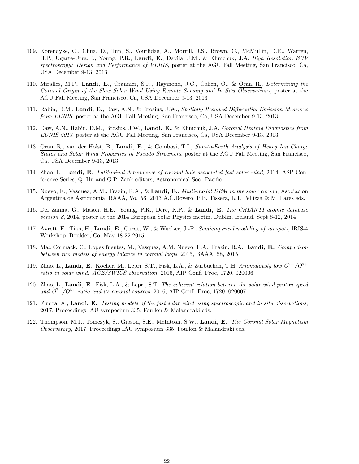- 109. Korendyke, C., Chua, D., Tun, S., Vourlidas, A., Morrill, J.S., Brown, C., McMullin, D.R., Warren, H.P., Ugarte-Urra, I., Young, P.R., Landi, E., Davila, J.M., & Klimchuk, J.A. High Resolution EUV spectroscopy: Design and Performance of VERIS, poster at the AGU Fall Meeting, San Francisco, Ca, USA December 9-13, 2013
- 110. Miralles, M.P., Landi, E., Cranmer, S.R., Raymond, J.C., Cohen, O., & Oran, R., Determining the Coronal Origin of the Slow Solar Wind Using Remote Sensing and In Situ Observations, poster at the AGU Fall Meeting, San Francisco, Ca, USA December 9-13, 2013
- 111. Rabin, D.M., Landi, E., Daw, A.N., & Brosius, J.W., Spatially Resolved Differential Emission Measures from EUNIS, poster at the AGU Fall Meeting, San Francisco, Ca, USA December 9-13, 2013
- 112. Daw, A.N., Rabin, D.M., Brosius, J.W., Landi, E., & Klimchuk, J.A. Coronal Heating Diagnostics from EUNIS 2013, poster at the AGU Fall Meeting, San Francisco, Ca, USA December 9-13, 2013
- 113. Oran, R., van der Holst, B., Landi, E., & Gombosi, T.I., Sun-to-Earth Analysis of Heavy Ion Charge States and Solar Wind Properties in Pseudo Streamers, poster at the AGU Fall Meeting, San Francisco, Ca, USA December 9-13, 2013
- 114. Zhao, L., Landi, E., Latitudinal dependence of coronal hole-associated fast solar wind, 2014, ASP Conference Series, Q. Hu and G.P. Zank editors, Astronomical Soc. Pacific
- 115. Nuevo, F., Vasquez, A.M., Frazin, R.A., & Landi, E., Multi-modal DEM in the solar corona, Asociacion Argentina de Astronomia, BAAA, Vo. 56, 2013 A.C.Rovero, P.B. Tissera, L.J. Pellizza & M. Lares eds.
- 116. Del Zanna, G., Mason, H.E., Young, P.R., Dere, K.P., & Landi, E. The CHIANTI atomic database version 8, 2014, poster at the 2014 European Solar Physics meetin, Dublin, Ireland, Sept 8-12, 2014
- 117. Avrett, E., Tian, H., Landi, E., Curdt, W., & Wuelser, J.-P., Semiempirical modeling of sunspots, IRIS-4 Workshop, Boulder, Co, May 18-22 2015
- 118. Mac Cormack, C., Lopez fuentes, M., Vasquez, A.M. Nuevo, F.A., Frazin, R.A., Landi, E., Comparison between two models of energy balance in coronal loops, 2015, BAAA, 58, 2015
- 119. Zhao, L., Landi, E., Kocher, M., Lepri, S.T., Fisk, L.A., & Zurbuchen, T.H. Anomalously low  $O<sup>7+</sup>/O<sup>6+</sup>$ ratio in solar wind:  $\overline{ACE/SWICS}$  observation, 2016, AIP Conf. Proc, 1720, 020006
- 120. Zhao, L., Landi, E., Fisk, L.A., & Lepri, S.T. The coherent relation between the solar wind proton speed and  $O^{7+}/O^{6+}$  ratio and its coronal sources, 2016, AIP Conf. Proc, 1720, 020007
- 121. Fludra, A., Landi, E., Testing models of the fast solar wind using spectroscopic and in situ observations, 2017, Proceedings IAU symposium 335, Foullon & Malandraki eds.
- 122. Thompson, M.J., Tomczyk, S., Gibson, S.E., McIntosh, S.W., Landi, E., The Coronal Solar Magnetism Observatory, 2017, Proceedings IAU symposium 335, Foullon & Malandraki eds.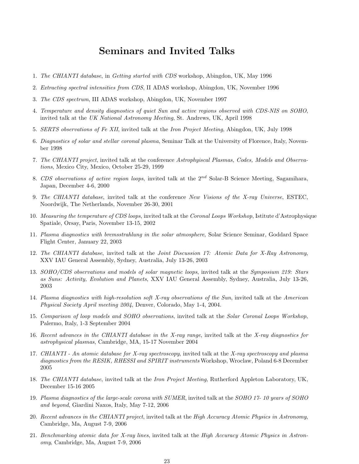### Seminars and Invited Talks

- 1. The CHIANTI database, in Getting started with CDS workshop, Abingdon, UK, May 1996
- 2. Extracting spectral intensities from CDS, II ADAS workshop, Abingdon, UK, November 1996
- 3. The CDS spectrum, III ADAS workshop, Abingdon, UK, November 1997
- 4. Temperature and density diagnostics of quiet Sun and active regions observed with CDS-NIS on SOHO, invited talk at the UK National Astronomy Meeting, St. Andrews, UK, April 1998
- 5. SERTS observations of Fe XII, invited talk at the Iron Project Meeting, Abingdon, UK, July 1998
- 6. Diagnostics of solar and stellar coronal plasma, Seminar Talk at the University of Florence, Italy, November 1998
- 7. The CHIANTI project, invited talk at the conference Astrophyiscal Plasmas, Codes, Models and Observations, Mexico City, Mexico, October 25-29, 1999
- 8. CDS observations of active region loops, invited talk at the  $2^{nd}$  Solar-B Science Meeting, Sagamihara, Japan, December 4-6, 2000
- 9. The CHIANTI database, invited talk at the conference New Visions of the X-ray Universe, ESTEC, Noordwijk, The Netherlands, November 26-30, 2001
- 10. Measuring the temperature of CDS loops, invited talk at the Coronal Loops Workshop, Istitute d'Astrophysique Spatiale, Orsay, Paris, November 13-15, 2002
- 11. Plasma diagnostics with bremsstrahlung in the solar atmosphere, Solar Science Seminar, Goddard Space Flight Center, January 22, 2003
- 12. The CHIANTI database, invited talk at the Joint Discussion 17: Atomic Data for X-Ray Astronomy, XXV IAU General Assembly, Sydney, Australia, July 13-26, 2003
- 13. SOHO/CDS observations and models of solar magnetic loops, invited talk at the Symposium 219: Stars as Suns: Activity, Evolution and Planets, XXV IAU General Assembly, Sydney, Australia, July 13-26, 2003
- 14. Plasma diagnostics with high-resolution soft X-ray observations of the Sun, invited talk at the American Physical Society April meeting 2004, Denver, Colorado, May 1-4, 2004.
- 15. Comparison of loop models and SOHO observations, invited talk at the Solar Coronal Loops Workshop, Palermo, Italy, 1-3 September 2004
- 16. Recent advances in the CHIANTI database in the X-ray range, invited talk at the X-ray diagnostics for astrophysical plasmas, Cambridge, MA, 15-17 November 2004
- 17. CHIANTI An atomic database for X-ray spectroscopy, invited talk at the X-ray spectroscopy and plasma diagnostics from the RESIK, RHESSI and SPIRIT instruments Workshop, Wroclaw, Poland 6-8 December 2005
- 18. The CHIANTI database, invited talk at the Iron Project Meeting, Rutherford Appleton Laboratory, UK, December 15-16 2005
- 19. Plasma diagnostics of the large-scale corona with SUMER, invited talk at the SOHO 17-10 years of SOHO and beyond, Giardini Naxos, Italy, May 7-12, 2006
- 20. Recent advances in the CHIANTI project, invited talk at the High Accuracy Atomic Physics in Astronomy, Cambridge, Ma, August 7-9, 2006
- 21. Benchmarking atomic data for X-ray lines, invited talk at the High Accuracy Atomic Physics in Astronomy, Cambridge, Ma, August 7-9, 2006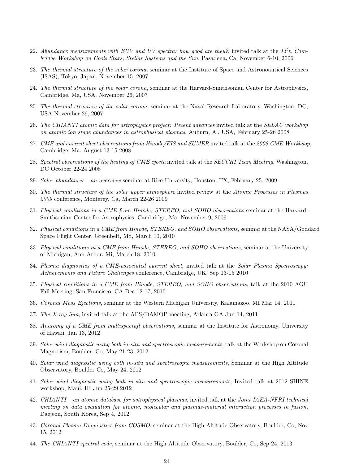- 22. Abundance measurements with EUV and UV spectra: how good are they?, invited talk at the  $14<sup>th</sup>$  Cambridge Workshop on Cools Stars, Stellar Systems and the Sun, Pasadena, Ca, November 6-10, 2006
- 23. The thermal structure of the solar corona, seminar at the Institute of Space and Astronoautical Sciences (ISAS), Tokyo, Japan, November 15, 2007
- 24. The thermal structure of the solar corona, seminar at the Harvard-Smithsonian Center for Astrophysics, Cambridge, Ma, USA, November 26, 2007
- 25. The thermal structure of the solar corona, seminar at the Naval Research Laboratory, Washington, DC, USA November 29, 2007
- 26. The CHIANTI atomic data for astrophysics project: Recent advances invited talk at the SELAC workshop on atomic ion stage abundances in astrophysical plasmas, Auburn, Al, USA, February 25-26 2008
- 27. CME and current sheet observations from Hinode/EIS and SUMER invited talk at the 2008 CME Workhsop, Cambridge, Ma, August 13-15 2008
- 28. Spectral observations of the heating of CME ejecta invited talk at the SECCHI Team Meeting, Washington, DC October 22-24 2008
- 29. Solar abundances an overview seminar at Rice University, Houston, TX, February 25, 2009
- 30. The thermal structure of the solar upper atmosphere invited review at the Atomic Processes in Plasmas 2009 conference, Monterey, Ca, March 22-26 2009
- 31. Physical conditions in a CME from Hinode, STEREO, and SOHO observations seminar at the Harvard-Smithsonian Center for Astrophysics, Cambridge, Ma, November 9, 2009
- 32. Physical conditions in a CME from Hinode, STEREO, and SOHO observations, seminar at the NASA/Goddard Space Flight Center, Greenbelt, Md, March 10, 2010
- 33. Physical conditions in a CME from Hinode, STEREO, and SOHO observations, seminar at the University of Michigan, Ann Arbor, Mi, March 18, 2010
- 34. Plasma diagnostics of a CME-associated current sheet, invited talk at the Solar Plasma Spectroscopy: Achievements and Future Challenges conference, Cambridge, UK, Sep 13-15 2010
- 35. Physical conditions in a CME from Hinode, STEREO, and SOHO observations, talk at the 2010 AGU Fall Meeting, San Francisco, CA Dec 12-17, 2010
- 36. Coronal Mass Ejections, seminar at the Western Michigan University, Kalamazoo, MI Mar 14, 2011
- 37. The X-ray Sun, invited talk at the APS/DAMOP meeting, Atlanta GA Jun 14, 2011
- 38. Anatomy of a CME from multispacraft observations, seminar at the Institute for Astronomy, University of Hawaii, Jan 13, 2012
- 39. Solar wind diagnostic using both in-situ and spectroscopic measurements, talk at the Workshop on Coronal Magnetism, Boulder, Co, May 21-23, 2012
- 40. Solar wind diagnostic using both in-situ and spectroscopic measurements, Seminar at the High Altitude Observatory, Boulder Co, May 24, 2012
- 41. Solar wind diagnostic using both in-situ and spectroscopic measurements, Invited talk at 2012 SHINE workshop, Maui, HI Jun 25-29 2012
- 42. CHIANTI an atomic database for astrophysical plasmas, invited talk at the Joint IAEA-NFRI technical meeting on data evaluation for atomic, molecular and plasmas-material interaction processes in fusion, Daejeon, South Korea, Sep 4, 2012
- 43. Coronal Plasma Diagnostics from COSMO, seminar at the High Altitude Observatory, Boulder, Co, Nov 15, 2012
- 44. The CHIANTI spectral code, seminar at the High Altitude Observatory, Boulder, Co, Sep 24, 2013